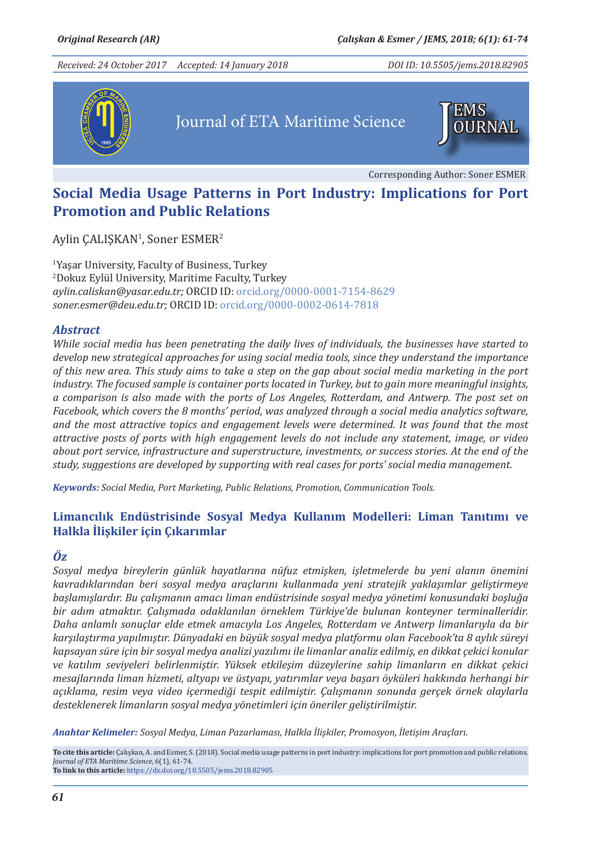*Received: 24 October 2017 Accepted: 14 January 2018*

*DOI ID: 10.5505/jems.2018.82905*



# Journal of ETA Maritime Science



Corresponding Author: Soner ESMER

## **Social Media Usage Patterns in Port Industry: Implications for Port Promotion and Public Relations**

 $Aylin$   $GALI$KAN<sup>1</sup>$ , Soner  $ESMER<sup>2</sup>$ 

1 Yaşar University, Faculty of Business, Turkey 2 Dokuz Eylül University, Maritime Faculty, Turkey *aylin.caliskan@yasar.edu.tr;* ORCID ID: orcid.org/0000-0001-7154-8629 *soner.esmer@deu.edu.tr;* ORCID ID: orcid.org/0000-0002-0614-7818

#### *Abstract*

*While social media has been penetrating the daily lives of individuals, the businesses have started to develop new strategical approaches for using social media tools, since they understand the importance of this new area. This study aims to take a step on the gap about social media marketing in the port industry. The focused sample is container ports located in Turkey, but to gain more meaningful insights, a comparison is also made with the ports of Los Angeles, Rotterdam, and Antwerp. The post set on Facebook, which covers the 8 months' period, was analyzed through a social media analytics software, and the most attractive topics and engagement levels were determined. It was found that the most attractive posts of ports with high engagement levels do not include any statement, image, or video about port service, infrastructure and superstructure, investments, or success stories. At the end of the study, suggestions are developed by supporting with real cases for ports' social media management.*

*Keywords: Social Media, Port Marketing, Public Relations, Promotion, Communication Tools.*

#### **Limancılık Endüstrisinde Sosyal Medya Kullanım Modelleri: Liman Tanıtımı ve Halkla İlişkiler için Çıkarımlar**

#### *Öz*

*Sosyal medya bireylerin günlük hayatlarına nüfuz etmişken, işletmelerde bu yeni alanın önemini kavradıklarından beri sosyal medya araçlarını kullanmada yeni stratejik yaklaşımlar geliştirmeye başlamışlardır. Bu çalışmanın amacı liman endüstrisinde sosyal medya yönetimi konusundaki boşluğa bir adım atmaktır. Çalışmada odaklanılan örneklem Türkiye'de bulunan konteyner terminalleridir. Daha anlamlı sonuçlar elde etmek amacıyla Los Angeles, Rotterdam ve Antwerp limanlarıyla da bir karşılaştırma yapılmıştır. Dünyadaki en büyük sosyal medya platformu olan Facebook'ta 8 aylık süreyi kapsayan süre için bir sosyal medya analizi yazılımı ile limanlar analiz edilmiş, en dikkat çekici konular ve katılım seviyeleri belirlenmiştir. Yüksek etkileşim düzeylerine sahip limanların en dikkat çekici mesajlarında liman hizmeti, altyapı ve üstyapı, yatırımlar veya başarı öyküleri hakkında herhangi bir açıklama, resim veya video içermediği tespit edilmiştir. Çalışmanın sonunda gerçek örnek olaylarla desteklenerek limanların sosyal medya yönetimleri için öneriler geliştirilmiştir.*

*Anahtar Kelimeler: Sosyal Medya, Liman Pazarlaması, Halkla İlişkiler, Promosyon, İletişim Araçları.*

**To cite this article:** Çalışkan, A. and Esmer, S. (2018). Social media usage patterns in port industry: implications for port promotion and public relations. *Journal of ETA Maritime Science*, 6(1), 61-74. **To link to this article:** https://dx.doi.org/10.5505/jems.2018.82905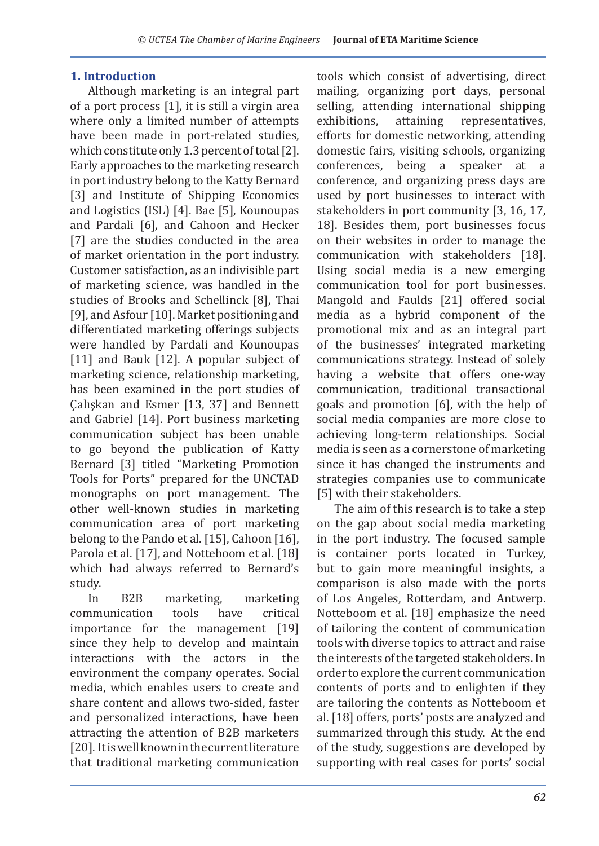#### **1. Introduction**

Although marketing is an integral part of a port process [1], it is still a virgin area where only a limited number of attempts have been made in port-related studies, which constitute only 1.3 percent of total [2]. Early approaches to the marketing research in port industry belong to the Katty Bernard [3] and Institute of Shipping Economics and Logistics (ISL) [4]. Bae [5], Kounoupas and Pardali [6], and Cahoon and Hecker [7] are the studies conducted in the area of market orientation in the port industry. Customer satisfaction, as an indivisible part of marketing science, was handled in the studies of Brooks and Schellinck [8], Thai [9], and Asfour [10]. Market positioning and differentiated marketing offerings subjects were handled by Pardali and Kounoupas [11] and Bauk [12]. A popular subject of marketing science, relationship marketing, has been examined in the port studies of Çalışkan and Esmer [13, 37] and Bennett and Gabriel [14]. Port business marketing communication subject has been unable to go beyond the publication of Katty Bernard [3] titled "Marketing Promotion Tools for Ports" prepared for the UNCTAD monographs on port management. The other well-known studies in marketing communication area of port marketing belong to the Pando et al. [15], Cahoon [16], Parola et al. [17], and Notteboom et al. [18] which had always referred to Bernard's study.<br>In

B2B marketing, marketing<br>cation tools have critical communication importance for the management [19] since they help to develop and maintain interactions with the actors in the environment the company operates. Social media, which enables users to create and share content and allows two-sided, faster and personalized interactions, have been attracting the attention of B2B marketers [20]. It is well known in the current literature that traditional marketing communication

tools which consist of advertising, direct mailing, organizing port days, personal selling, attending international shipping<br>exhibitions, attaining representatives, representatives, efforts for domestic networking, attending domestic fairs, visiting schools, organizing conferences, being a speaker at a conference, and organizing press days are used by port businesses to interact with stakeholders in port community [3, 16, 17, 18]. Besides them, port businesses focus on their websites in order to manage the communication with stakeholders [18]. Using social media is a new emerging communication tool for port businesses. Mangold and Faulds [21] offered social media as a hybrid component of the promotional mix and as an integral part of the businesses' integrated marketing communications strategy. Instead of solely having a website that offers one-way communication, traditional transactional goals and promotion [6], with the help of social media companies are more close to achieving long-term relationships. Social media is seen as a cornerstone of marketing since it has changed the instruments and strategies companies use to communicate [5] with their stakeholders.

The aim of this research is to take a step on the gap about social media marketing in the port industry. The focused sample is container ports located in Turkey, but to gain more meaningful insights, a comparison is also made with the ports of Los Angeles, Rotterdam, and Antwerp. Notteboom et al. [18] emphasize the need of tailoring the content of communication tools with diverse topics to attract and raise the interests of the targeted stakeholders. In order to explore the current communication contents of ports and to enlighten if they are tailoring the contents as Notteboom et al. [18] offers, ports' posts are analyzed and summarized through this study. At the end of the study, suggestions are developed by supporting with real cases for ports' social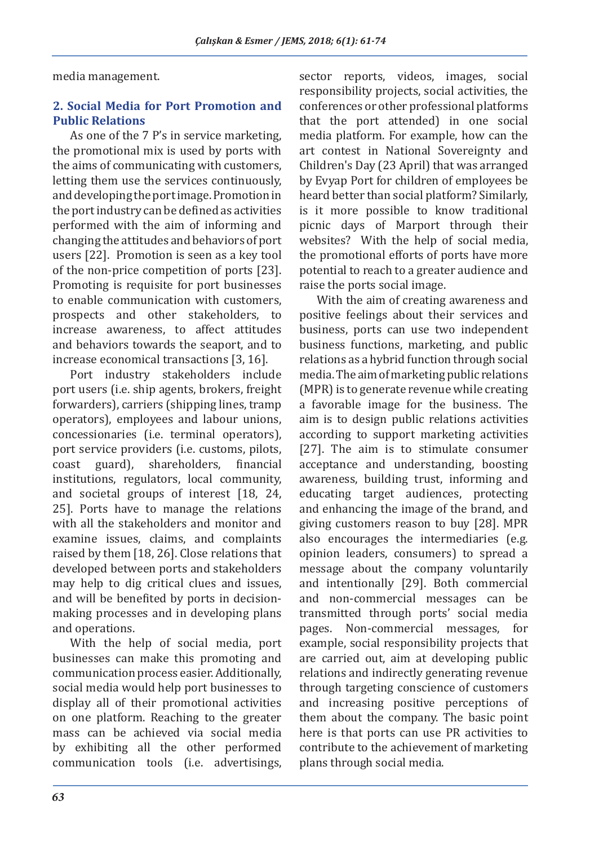media management.

### **2. Social Media for Port Promotion and Public Relations**

As one of the 7 P's in service marketing, the promotional mix is used by ports with the aims of communicating with customers, letting them use the services continuously, and developing the port image. Promotion in the port industry can be defined as activities performed with the aim of informing and changing the attitudes and behaviors of port users [22]. Promotion is seen as a key tool of the non-price competition of ports [23]. Promoting is requisite for port businesses to enable communication with customers, prospects and other stakeholders, to increase awareness, to affect attitudes and behaviors towards the seaport, and to increase economical transactions [3, 16].

Port industry stakeholders include port users (i.e. ship agents, brokers, freight forwarders), carriers (shipping lines, tramp operators), employees and labour unions, concessionaries (i.e. terminal operators), port service providers (i.e. customs, pilots, coast guard), shareholders, financial shareholders, institutions, regulators, local community, and societal groups of interest [18, 24, 25]. Ports have to manage the relations with all the stakeholders and monitor and examine issues, claims, and complaints raised by them [18, 26]. Close relations that developed between ports and stakeholders may help to dig critical clues and issues, and will be benefited by ports in decisionmaking processes and in developing plans and operations.

With the help of social media, port businesses can make this promoting and communication process easier. Additionally, social media would help port businesses to display all of their promotional activities on one platform. Reaching to the greater mass can be achieved via social media by exhibiting all the other performed communication tools (i.e. advertisings, sector reports, videos, images, social responsibility projects, social activities, the conferences or other professional platforms that the port attended) in one social media platform. For example, how can the art contest in National Sovereignty and Children's Day (23 April) that was arranged by Evyap Port for children of employees be heard better than social platform? Similarly, is it more possible to know traditional picnic days of Marport through their websites? With the help of social media, the promotional efforts of ports have more potential to reach to a greater audience and raise the ports social image.

With the aim of creating awareness and positive feelings about their services and business, ports can use two independent business functions, marketing, and public relations as a hybrid function through social media. The aim of marketing public relations (MPR) is to generate revenue while creating a favorable image for the business. The aim is to design public relations activities according to support marketing activities [27]. The aim is to stimulate consumer acceptance and understanding, boosting awareness, building trust, informing and educating target audiences, protecting and enhancing the image of the brand, and giving customers reason to buy [28]. MPR also encourages the intermediaries (e.g. opinion leaders, consumers) to spread a message about the company voluntarily and intentionally [29]. Both commercial and non-commercial messages can be transmitted through ports' social media pages. Non-commercial messages, for example, social responsibility projects that are carried out, aim at developing public relations and indirectly generating revenue through targeting conscience of customers and increasing positive perceptions of them about the company. The basic point here is that ports can use PR activities to contribute to the achievement of marketing plans through social media.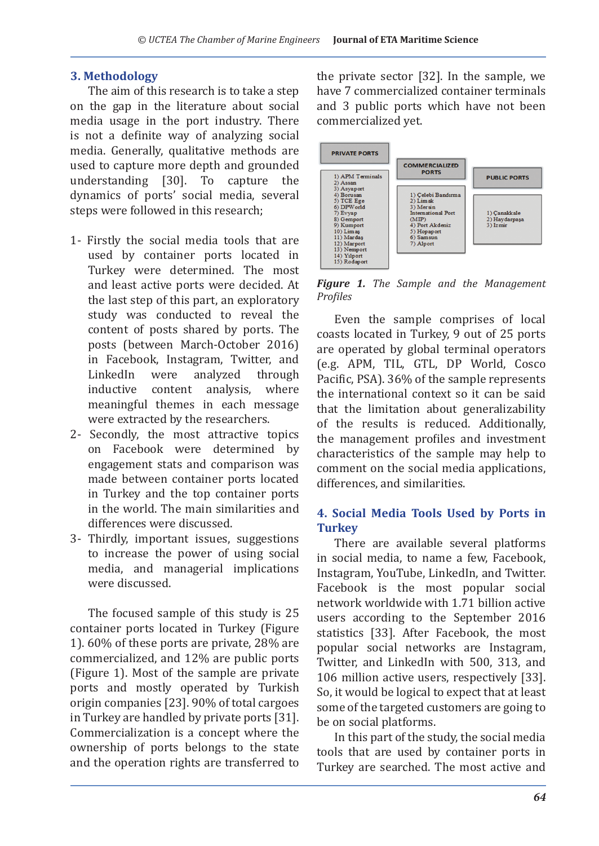#### **3. Methodology**

The aim of this research is to take a step on the gap in the literature about social media usage in the port industry. There is not a definite way of analyzing social media. Generally, qualitative methods are used to capture more depth and grounded understanding [30]. To capture the dynamics of ports' social media, several steps were followed in this research;

- 1- Firstly the social media tools that are used by container ports located in Turkey were determined. The most and least active ports were decided. At the last step of this part, an exploratory study was conducted to reveal the content of posts shared by ports. The posts (between March-October 2016) in Facebook, Instagram, Twitter, and<br>LinkedIn were analyzed through were analyzed through<br>content analysis. where inductive meaningful themes in each message were extracted by the researchers.
- 2- Secondly, the most attractive topics on Facebook were determined by engagement stats and comparison was made between container ports located in Turkey and the top container ports in the world. The main similarities and differences were discussed.
- 3- Thirdly, important issues, suggestions to increase the power of using social media, and managerial implications were discussed.

The focused sample of this study is 25 container ports located in Turkey (Figure 1). 60% of these ports are private, 28% are commercialized, and 12% are public ports (Figure 1). Most of the sample are private ports and mostly operated by Turkish origin companies [23]. 90% of total cargoes in Turkey are handled by private ports [31]. Commercialization is a concept where the ownership of ports belongs to the state and the operation rights are transferred to the private sector [32]. In the sample, we have 7 commercialized container terminals and 3 public ports which have not been commercialized yet.



*Figure 1. The Sample and the Management Profiles*

Even the sample comprises of local coasts located in Turkey, 9 out of 25 ports are operated by global terminal operators (e.g. APM, TIL, GTL, DP World, Cosco Pacific, PSA). 36% of the sample represents the international context so it can be said that the limitation about generalizability of the results is reduced. Additionally, the management profiles and investment characteristics of the sample may help to comment on the social media applications, differences, and similarities.

#### **4. Social Media Tools Used by Ports in Turkey**

There are available several platforms in social media, to name a few, Facebook, Instagram, YouTube, LinkedIn, and Twitter. Facebook is the most popular social network worldwide with 1.71 billion active users according to the September 2016 statistics [33]. After Facebook, the most popular social networks are Instagram, Twitter, and LinkedIn with 500, 313, and 106 million active users, respectively [33]. So, it would be logical to expect that at least some of the targeted customers are going to be on social platforms.

In this part of the study, the social media tools that are used by container ports in Turkey are searched. The most active and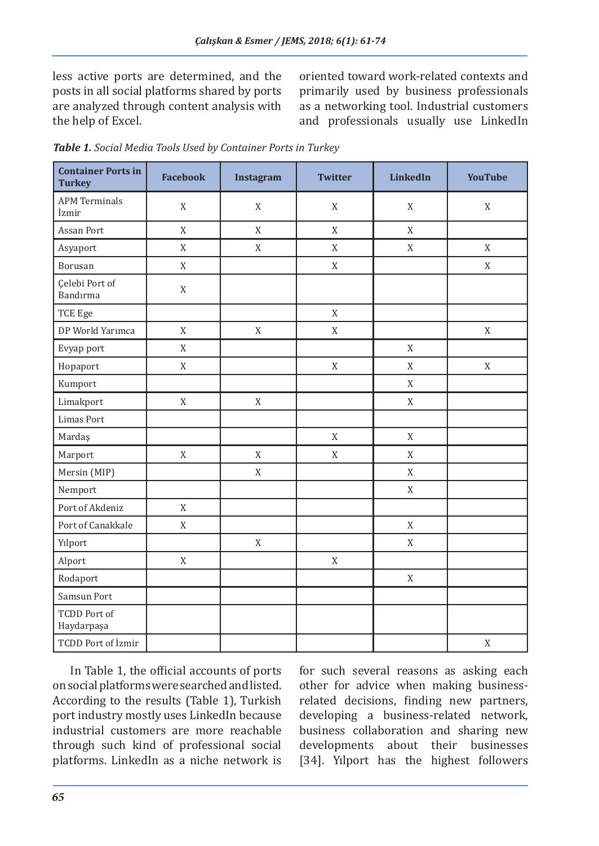less active ports are determined, and the posts in all social platforms shared by ports are analyzed through content analysis with the help of Excel.

oriented toward work-related contexts and primarily used by business professionals as a networking tool. Industrial customers and professionals usually use LinkedIn

| <b>Container Ports in</b><br><b>Turkey</b> | <b>Facebook</b> | Instagram   | <b>Twitter</b> | <b>LinkedIn</b> | <b>YouTube</b> |
|--------------------------------------------|-----------------|-------------|----------------|-----------------|----------------|
| <b>APM Terminals</b><br>İzmir              | X               | X           | X              | X               | X              |
| Assan Port                                 | X               | X           | X              | X               |                |
| Asyaport                                   | X               | X           | X              | X               | X              |
| Borusan                                    | X               |             | X              |                 | X              |
| Celebi Port of<br>Bandırma                 | X               |             |                |                 |                |
| TCE Ege                                    |                 |             | X              |                 |                |
| DP World Yarımca                           | X               | $\mathbf X$ | X              |                 | X              |
| Evyap port                                 | X               |             |                | X               |                |
| Hopaport                                   | X               |             | X              | X               | X              |
| Kumport                                    |                 |             |                | X               |                |
| Limakport                                  | $\mathbf X$     | $\mathbf X$ |                | $\mathbf X$     |                |
| <b>Limas Port</b>                          |                 |             |                |                 |                |
| Mardaş                                     |                 |             | X              | X               |                |
| Marport                                    | $\mathbf X$     | X           | $\mathbf X$    | X               |                |
| Mersin (MIP)                               |                 | $\mathbf X$ |                | X               |                |
| Nemport                                    |                 |             |                | X               |                |
| Port of Akdeniz                            | X               |             |                |                 |                |
| Port of Canakkale                          | X               |             |                | X               |                |
| Yılport                                    |                 | X           |                | X               |                |
| Alport                                     | X               |             | X              |                 |                |
| Rodaport                                   |                 |             |                | X               |                |
| Samsun Port                                |                 |             |                |                 |                |
| <b>TCDD Port of</b><br>Haydarpaşa          |                 |             |                |                 |                |
| <b>TCDD Port of İzmir</b>                  |                 |             |                |                 | $\mathbf X$    |

*Table 1. Social Media Tools Used by Container Ports in Turkey*

In Table 1, the official accounts of ports on social platforms were searched and listed. According to the results (Table 1), Turkish port industry mostly uses LinkedIn because industrial customers are more reachable through such kind of professional social platforms. LinkedIn as a niche network is for such several reasons as asking each other for advice when making businessrelated decisions, finding new partners, developing a business-related network, business collaboration and sharing new developments about their businesses [34]. Yılport has the highest followers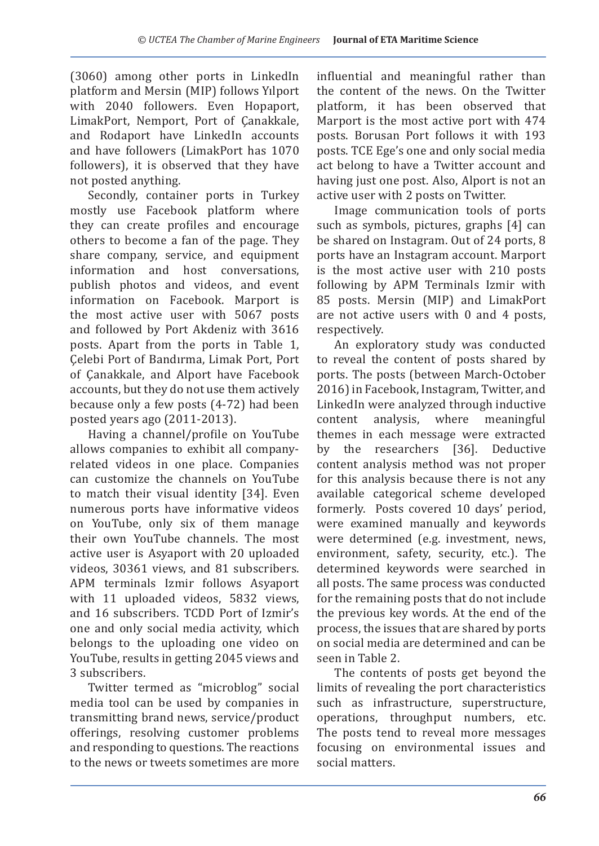(3060) among other ports in LinkedIn platform and Mersin (MIP) follows Yılport with 2040 followers. Even Hopaport, LimakPort, Nemport, Port of Çanakkale, and Rodaport have LinkedIn accounts and have followers (LimakPort has 1070 followers), it is observed that they have not posted anything.

Secondly, container ports in Turkey mostly use Facebook platform where they can create profiles and encourage others to become a fan of the page. They share company, service, and equipment information and host conversations, publish photos and videos, and event information on Facebook. Marport is the most active user with 5067 posts and followed by Port Akdeniz with 3616 posts. Apart from the ports in Table 1, Çelebi Port of Bandırma, Limak Port, Port of Çanakkale, and Alport have Facebook accounts, but they do not use them actively because only a few posts (4-72) had been posted years ago (2011-2013).

Having a channel/profile on YouTube allows companies to exhibit all companyrelated videos in one place. Companies can customize the channels on YouTube to match their visual identity [34]. Even numerous ports have informative videos on YouTube, only six of them manage their own YouTube channels. The most active user is Asyaport with 20 uploaded videos, 30361 views, and 81 subscribers. APM terminals Izmir follows Asyaport with 11 uploaded videos, 5832 views, and 16 subscribers. TCDD Port of Izmir's one and only social media activity, which belongs to the uploading one video on YouTube, results in getting 2045 views and 3 subscribers.

Twitter termed as "microblog" social media tool can be used by companies in transmitting brand news, service/product offerings, resolving customer problems and responding to questions. The reactions to the news or tweets sometimes are more influential and meaningful rather than the content of the news. On the Twitter platform, it has been observed that Marport is the most active port with 474 posts. Borusan Port follows it with 193 posts. TCE Ege's one and only social media act belong to have a Twitter account and having just one post. Also, Alport is not an active user with 2 posts on Twitter.

Image communication tools of ports such as symbols, pictures, graphs [4] can be shared on Instagram. Out of 24 ports, 8 ports have an Instagram account. Marport is the most active user with 210 posts following by APM Terminals Izmir with 85 posts. Mersin (MIP) and LimakPort are not active users with 0 and 4 posts, respectively.

An exploratory study was conducted to reveal the content of posts shared by ports. The posts (between March-October 2016) in Facebook, Instagram, Twitter, and LinkedIn were analyzed through inductive<br>content analysis, where meaningful where meaningful themes in each message were extracted by the researchers [36]. Deductive content analysis method was not proper for this analysis because there is not any available categorical scheme developed formerly. Posts covered 10 days' period, were examined manually and keywords were determined (e.g. investment, news, environment, safety, security, etc.). The determined keywords were searched in all posts. The same process was conducted for the remaining posts that do not include the previous key words. At the end of the process, the issues that are shared by ports on social media are determined and can be seen in Table 2.

The contents of posts get beyond the limits of revealing the port characteristics such as infrastructure, superstructure, operations, throughput numbers, etc. The posts tend to reveal more messages focusing on environmental issues and social matters.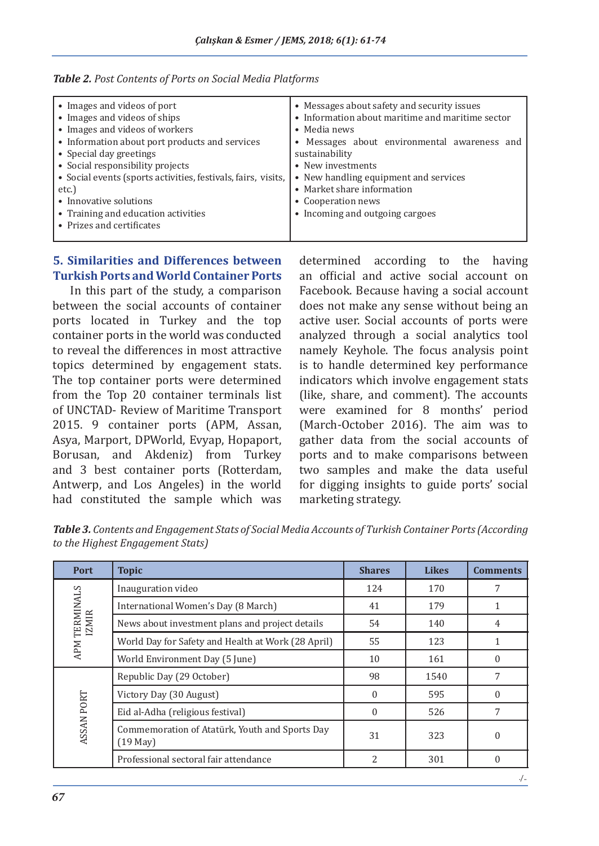| • Images and videos of port                                   | • Messages about safety and security issues      |  |  |  |
|---------------------------------------------------------------|--------------------------------------------------|--|--|--|
| • Images and videos of ships                                  | • Information about maritime and maritime sector |  |  |  |
| • Images and videos of workers                                | • Media news                                     |  |  |  |
| • Information about port products and services                | • Messages about environmental awareness and     |  |  |  |
| • Special day greetings                                       | sustainability                                   |  |  |  |
| • Social responsibility projects                              | • New investments                                |  |  |  |
| • Social events (sports activities, festivals, fairs, visits, | • New handling equipment and services            |  |  |  |
| etc.)                                                         | • Market share information                       |  |  |  |
| • Innovative solutions                                        | • Cooperation news                               |  |  |  |
| • Training and education activities                           | • Incoming and outgoing cargoes                  |  |  |  |
| • Prizes and certificates                                     |                                                  |  |  |  |
|                                                               |                                                  |  |  |  |

|  |  |  |  |  |  |  |  | Table 2. Post Contents of Ports on Social Media Platforms |
|--|--|--|--|--|--|--|--|-----------------------------------------------------------|
|--|--|--|--|--|--|--|--|-----------------------------------------------------------|

#### **5. Similarities and Differences between Turkish Ports and World Container Ports**

In this part of the study, a comparison between the social accounts of container ports located in Turkey and the top container ports in the world was conducted to reveal the differences in most attractive topics determined by engagement stats. The top container ports were determined from the Top 20 container terminals list of UNCTAD- Review of Maritime Transport 2015. 9 container ports (APM, Assan, Asya, Marport, DPWorld, Evyap, Hopaport, Borusan, and Akdeniz) from Turkey and 3 best container ports (Rotterdam, Antwerp, and Los Angeles) in the world had constituted the sample which was determined according to the having an official and active social account on Facebook. Because having a social account does not make any sense without being an active user. Social accounts of ports were analyzed through a social analytics tool namely Keyhole. The focus analysis point is to handle determined key performance indicators which involve engagement stats (like, share, and comment). The accounts were examined for 8 months' period (March-October 2016). The aim was to gather data from the social accounts of ports and to make comparisons between two samples and make the data useful for digging insights to guide ports' social marketing strategy.

| <b>Table 3.</b> Contents and Engagement Stats of Social Media Accounts of Turkish Container Ports (According |
|--------------------------------------------------------------------------------------------------------------|
| to the Highest Engagement Stats)                                                                             |
|                                                                                                              |

| Port                          | <b>Topic</b>                                                 | <b>Shares</b>  | <b>Likes</b> | <b>Comments</b> |
|-------------------------------|--------------------------------------------------------------|----------------|--------------|-----------------|
|                               | Inauguration video                                           | 124            | 170          | 7               |
|                               | International Women's Day (8 March)                          | 41             | 179          |                 |
| APM TERMINALS<br><b>IZMIR</b> | News about investment plans and project details              | 54             | 140          | 4               |
|                               | World Day for Safety and Health at Work (28 April)           | 55             | 123          |                 |
|                               | World Environment Day (5 June)                               | 10             | 161          |                 |
| ASSAN PORT                    | Republic Day (29 October)                                    | 98             | 1540         |                 |
|                               | Victory Day (30 August)                                      | $\Omega$       | 595          | $\theta$        |
|                               | Eid al-Adha (religious festival)                             | $\theta$       | 526          | 7               |
|                               | Commemoration of Atatürk, Youth and Sports Day<br>$(19$ May) | 31             | 323          | $\theta$        |
|                               | Professional sectoral fair attendance                        | $\overline{2}$ | 301          | 0               |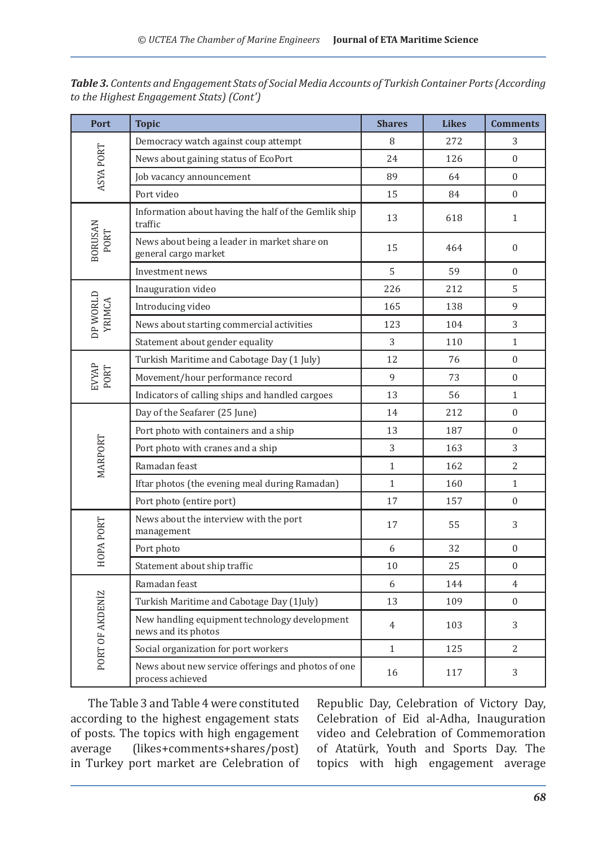| Port                   | <b>Topic</b>                                                           | <b>Shares</b>  | <b>Likes</b> | <b>Comments</b>  |
|------------------------|------------------------------------------------------------------------|----------------|--------------|------------------|
|                        | Democracy watch against coup attempt                                   | 8              | 272          | 3                |
| ASYA PORT              | News about gaining status of EcoPort                                   | 24             | 126          | $\theta$         |
|                        | Job vacancy announcement                                               | 89             | 64           | $\Omega$         |
|                        | Port video                                                             | 15             | 84           | $\overline{0}$   |
|                        | Information about having the half of the Gemlik ship<br>traffic        | 13             | 618          | $\mathbf{1}$     |
| <b>BORUSAN</b><br>PORT | News about being a leader in market share on<br>general cargo market   | 15             | 464          | $\boldsymbol{0}$ |
|                        | Investment news                                                        | 5              | 59           | $\Omega$         |
|                        | Inauguration video                                                     | 226            | 212          | 5                |
| DP WORLD               | Introducing video                                                      | 165            | 138          | 9                |
| YRIMCA                 | News about starting commercial activities                              | 123            | 104          | 3                |
|                        | Statement about gender equality                                        | 3              | 110          | $\mathbf{1}$     |
|                        | Turkish Maritime and Cabotage Day (1 July)                             | 12             | 76           | $\overline{0}$   |
| <b>EVYAP</b><br>PORT   | Movement/hour performance record                                       | 9              | 73           | $\boldsymbol{0}$ |
|                        | Indicators of calling ships and handled cargoes                        | 13             | 56           | $\mathbf{1}$     |
| MARPORT                | Day of the Seafarer (25 June)                                          | 14             | 212          | $\Omega$         |
|                        | Port photo with containers and a ship                                  | 13             | 187          | $\overline{0}$   |
|                        | Port photo with cranes and a ship                                      | 3              | 163          | 3                |
|                        | Ramadan feast                                                          | $\mathbf{1}$   | 162          | $\overline{2}$   |
|                        | Iftar photos (the evening meal during Ramadan)                         | $\mathbf{1}$   | 160          | $\mathbf{1}$     |
|                        | Port photo (entire port)                                               | 17             | 157          | $\overline{0}$   |
| HOPA PORT              | News about the interview with the port<br>management                   | 17             | 55           | 3                |
|                        | Port photo                                                             | 6              | 32           | $\theta$         |
|                        | Statement about ship traffic                                           | 10             | 25           | $\theta$         |
|                        | Ramadan feast                                                          | 6              | 144          | $\overline{4}$   |
|                        | Turkish Maritime and Cabotage Day (1July)                              | 13             | 109          | $\Omega$         |
| PORT OF AKDENIZ        | New handling equipment technology development<br>news and its photos   | $\overline{4}$ | 103          | 3                |
|                        | Social organization for port workers                                   | $\mathbf{1}$   | 125          | $\overline{2}$   |
|                        | News about new service offerings and photos of one<br>process achieved | 16             | 117          | 3                |

*Table 3. Contents and Engagement Stats of Social Media Accounts of Turkish Container Ports (According to the Highest Engagement Stats) (Cont')*

The Table 3 and Table 4 were constituted according to the highest engagement stats of posts. The topics with high engagement<br>average (likes+comments+shares/post) (likes+comments+shares/post) in Turkey port market are Celebration of Republic Day, Celebration of Victory Day, Celebration of Eid al-Adha, Inauguration video and Celebration of Commemoration of Atatürk, Youth and Sports Day. The topics with high engagement average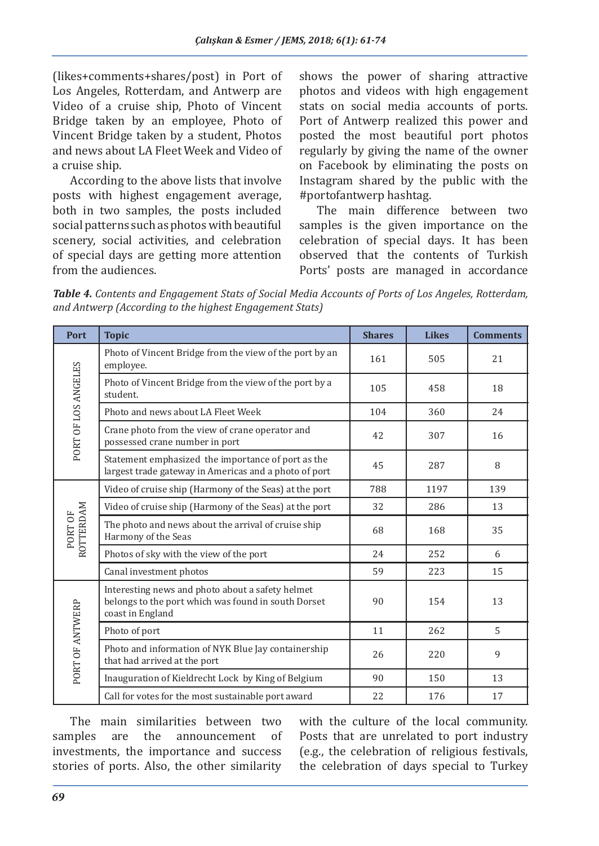(likes+comments+shares/post) in Port of Los Angeles, Rotterdam, and Antwerp are Video of a cruise ship, Photo of Vincent Bridge taken by an employee, Photo of Vincent Bridge taken by a student, Photos and news about LA Fleet Week and Video of a cruise ship.

According to the above lists that involve posts with highest engagement average, both in two samples, the posts included social patterns such as photos with beautiful scenery, social activities, and celebration of special days are getting more attention from the audiences.

shows the power of sharing attractive photos and videos with high engagement stats on social media accounts of ports. Port of Antwerp realized this power and posted the most beautiful port photos regularly by giving the name of the owner on Facebook by eliminating the posts on Instagram shared by the public with the #portofantwerp hashtag.

The main difference between two samples is the given importance on the celebration of special days. It has been observed that the contents of Turkish Ports' posts are managed in accordance

*Table 4. Contents and Engagement Stats of Social Media Accounts of Ports of Los Angeles, Rotterdam, and Antwerp (According to the highest Engagement Stats)*

| Port                 | <b>Topic</b>                                                                                                                | <b>Shares</b> | <b>Likes</b> | <b>Comments</b> |
|----------------------|-----------------------------------------------------------------------------------------------------------------------------|---------------|--------------|-----------------|
| PORT OF LOS ANGELES  | Photo of Vincent Bridge from the view of the port by an<br>employee.                                                        | 161           | 505          | 21              |
|                      | Photo of Vincent Bridge from the view of the port by a<br>student.                                                          | 105           | 458          | 18              |
|                      | Photo and news about LA Fleet Week                                                                                          | 104           | 360          | 24              |
|                      | Crane photo from the view of crane operator and<br>possessed crane number in port                                           | 42            | 307          | 16              |
|                      | Statement emphasized the importance of port as the<br>largest trade gateway in Americas and a photo of port                 | 45            | 287          | 8               |
|                      | Video of cruise ship (Harmony of the Seas) at the port                                                                      | 788           | 1197         | 139             |
|                      | Video of cruise ship (Harmony of the Seas) at the port                                                                      | 32            | 286          | 13              |
| ROTTERDAM<br>PORT OF | The photo and news about the arrival of cruise ship<br>Harmony of the Seas                                                  | 68            | 168          | 35              |
|                      | Photos of sky with the view of the port                                                                                     | 24            | 252          | 6               |
|                      | Canal investment photos                                                                                                     | 59            | 223          | 15              |
| PORT OF ANTWERP      | Interesting news and photo about a safety helmet<br>belongs to the port which was found in south Dorset<br>coast in England | 90            | 154          | 13              |
|                      | Photo of port                                                                                                               | 11            | 262          | 5               |
|                      | Photo and information of NYK Blue Jay containership<br>that had arrived at the port                                         | 26            | 220          | 9               |
|                      | Inauguration of Kieldrecht Lock by King of Belgium                                                                          | 90            | 150          | 13              |
|                      | Call for votes for the most sustainable port award                                                                          | 22            | 176          | 17              |

The main similarities between two<br>nples are the announcement of samples are the announcement of investments, the importance and success stories of ports. Also, the other similarity

with the culture of the local community. Posts that are unrelated to port industry (e.g., the celebration of religious festivals, the celebration of days special to Turkey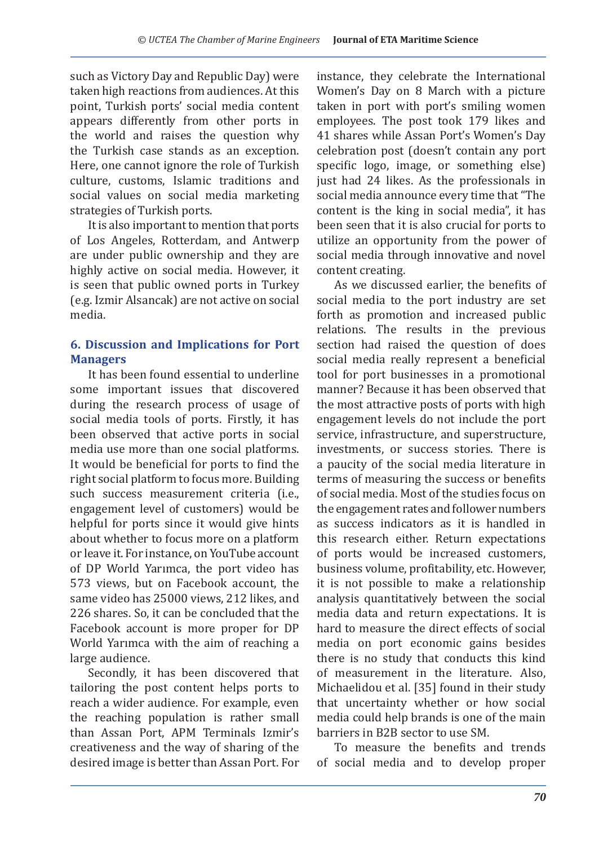such as Victory Day and Republic Day) were taken high reactions from audiences. At this point, Turkish ports' social media content appears differently from other ports in the world and raises the question why the Turkish case stands as an exception. Here, one cannot ignore the role of Turkish culture, customs, Islamic traditions and social values on social media marketing strategies of Turkish ports.

It is also important to mention that ports of Los Angeles, Rotterdam, and Antwerp are under public ownership and they are highly active on social media. However, it is seen that public owned ports in Turkey (e.g. Izmir Alsancak) are not active on social media.

## **6. Discussion and Implications for Port Managers**

It has been found essential to underline some important issues that discovered during the research process of usage of social media tools of ports. Firstly, it has been observed that active ports in social media use more than one social platforms. It would be beneficial for ports to find the right social platform to focus more. Building such success measurement criteria (i.e., engagement level of customers) would be helpful for ports since it would give hints about whether to focus more on a platform or leave it. For instance, on YouTube account of DP World Yarımca, the port video has 573 views, but on Facebook account, the same video has 25000 views, 212 likes, and 226 shares. So, it can be concluded that the Facebook account is more proper for DP World Yarımca with the aim of reaching a large audience.

Secondly, it has been discovered that tailoring the post content helps ports to reach a wider audience. For example, even the reaching population is rather small than Assan Port, APM Terminals Izmir's creativeness and the way of sharing of the desired image is better than Assan Port. For instance, they celebrate the International Women's Day on 8 March with a picture taken in port with port's smiling women employees. The post took 179 likes and 41 shares while Assan Port's Women's Day celebration post (doesn't contain any port specific logo, image, or something else) just had 24 likes. As the professionals in social media announce every time that "The content is the king in social media", it has been seen that it is also crucial for ports to utilize an opportunity from the power of social media through innovative and novel content creating.

As we discussed earlier, the benefits of social media to the port industry are set forth as promotion and increased public relations. The results in the previous section had raised the question of does social media really represent a beneficial tool for port businesses in a promotional manner? Because it has been observed that the most attractive posts of ports with high engagement levels do not include the port service, infrastructure, and superstructure, investments, or success stories. There is a paucity of the social media literature in terms of measuring the success or benefits of social media. Most of the studies focus on the engagement rates and follower numbers as success indicators as it is handled in this research either. Return expectations of ports would be increased customers, business volume, profitability, etc. However, it is not possible to make a relationship analysis quantitatively between the social media data and return expectations. It is hard to measure the direct effects of social media on port economic gains besides there is no study that conducts this kind of measurement in the literature. Also, Michaelidou et al. [35] found in their study that uncertainty whether or how social media could help brands is one of the main barriers in B2B sector to use SM.

To measure the benefits and trends of social media and to develop proper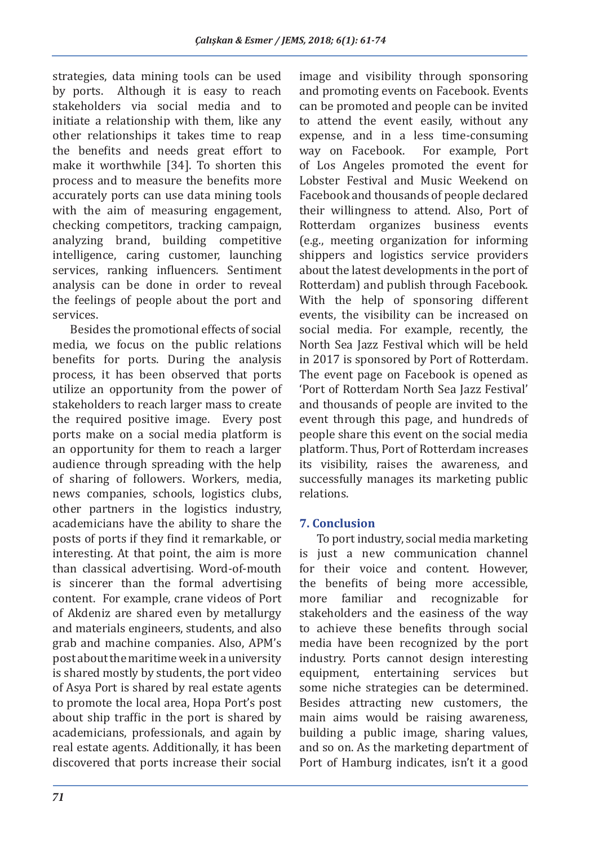strategies, data mining tools can be used<br>by ports. Although it is easy to reach Although it is easy to reach stakeholders via social media and to initiate a relationship with them, like any other relationships it takes time to reap the benefits and needs great effort to make it worthwhile [34]. To shorten this process and to measure the benefits more accurately ports can use data mining tools with the aim of measuring engagement, checking competitors, tracking campaign, analyzing brand, building competitive intelligence, caring customer, launching services, ranking influencers. Sentiment analysis can be done in order to reveal the feelings of people about the port and services.

Besides the promotional effects of social media, we focus on the public relations benefits for ports. During the analysis process, it has been observed that ports utilize an opportunity from the power of stakeholders to reach larger mass to create the required positive image. Every post ports make on a social media platform is an opportunity for them to reach a larger audience through spreading with the help of sharing of followers. Workers, media, news companies, schools, logistics clubs, other partners in the logistics industry, academicians have the ability to share the posts of ports if they find it remarkable, or interesting. At that point, the aim is more than classical advertising. Word-of-mouth is sincerer than the formal advertising content. For example, crane videos of Port of Akdeniz are shared even by metallurgy and materials engineers, students, and also grab and machine companies. Also, APM's post about the maritime week in a university is shared mostly by students, the port video of Asya Port is shared by real estate agents to promote the local area, Hopa Port's post about ship traffic in the port is shared by academicians, professionals, and again by real estate agents. Additionally, it has been discovered that ports increase their social image and visibility through sponsoring and promoting events on Facebook. Events can be promoted and people can be invited to attend the event easily, without any expense, and in a less time-consuming<br>way on Facebook. For example, Port For example, Port of Los Angeles promoted the event for Lobster Festival and Music Weekend on Facebook and thousands of people declared their willingness to attend. Also, Port of Rotterdam organizes business events (e.g., meeting organization for informing shippers and logistics service providers about the latest developments in the port of Rotterdam) and publish through Facebook. With the help of sponsoring different events, the visibility can be increased on social media. For example, recently, the North Sea Jazz Festival which will be held in 2017 is sponsored by Port of Rotterdam. The event page on Facebook is opened as 'Port of Rotterdam North Sea Jazz Festival' and thousands of people are invited to the event through this page, and hundreds of people share this event on the social media platform. Thus, Port of Rotterdam increases its visibility, raises the awareness, and successfully manages its marketing public relations.

### **7. Conclusion**

To port industry, social media marketing is just a new communication channel for their voice and content. However, the benefits of being more accessible,<br>more familiar and recognizable for and recognizable for stakeholders and the easiness of the way to achieve these benefits through social media have been recognized by the port industry. Ports cannot design interesting equipment, entertaining services but some niche strategies can be determined. Besides attracting new customers, the main aims would be raising awareness, building a public image, sharing values, and so on. As the marketing department of Port of Hamburg indicates, isn't it a good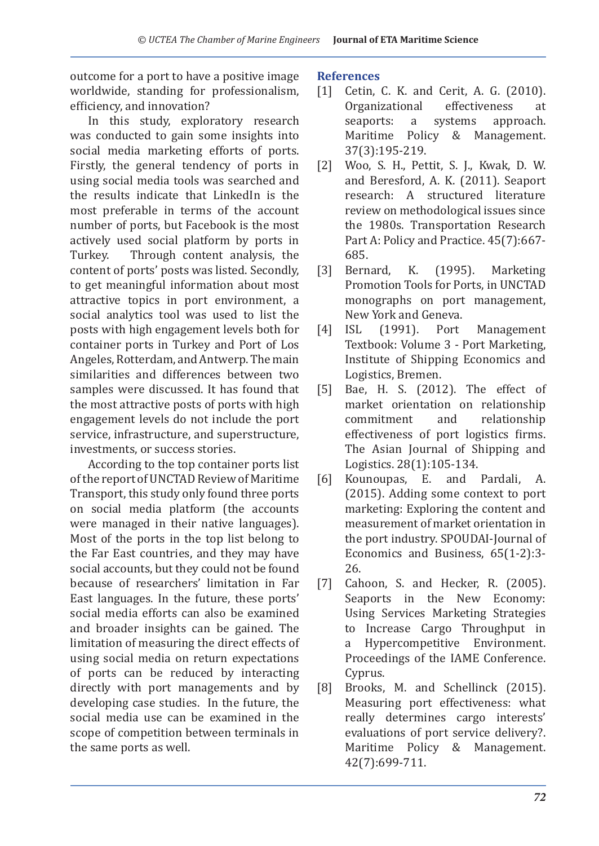outcome for a port to have a positive image worldwide, standing for professionalism, efficiency, and innovation?

In this study, exploratory research was conducted to gain some insights into social media marketing efforts of ports. Firstly, the general tendency of ports in using social media tools was searched and the results indicate that LinkedIn is the most preferable in terms of the account number of ports, but Facebook is the most actively used social platform by ports in<br>Turkey. Through content analysis, the Through content analysis, the content of ports' posts was listed. Secondly, to get meaningful information about most attractive topics in port environment, a social analytics tool was used to list the posts with high engagement levels both for container ports in Turkey and Port of Los Angeles, Rotterdam, and Antwerp. The main similarities and differences between two samples were discussed. It has found that the most attractive posts of ports with high engagement levels do not include the port service, infrastructure, and superstructure, investments, or success stories.

According to the top container ports list of the report of UNCTAD Review of Maritime Transport, this study only found three ports on social media platform (the accounts were managed in their native languages). Most of the ports in the top list belong to the Far East countries, and they may have social accounts, but they could not be found because of researchers' limitation in Far East languages. In the future, these ports' social media efforts can also be examined and broader insights can be gained. The limitation of measuring the direct effects of using social media on return expectations of ports can be reduced by interacting directly with port managements and by developing case studies. In the future, the social media use can be examined in the scope of competition between terminals in the same ports as well.

#### **References**

- [1] Cetin, C. K. and Cerit, A. G. (2010).<br>Organizational effectiveness at Organizational effecti<br>seaports: a systems approach. Maritime Policy & Management. 37(3):195-219.
- [2] Woo, S. H., Pettit, S. J., Kwak, D. W. and Beresford, A. K. (2011). Seaport research: A structured literature review on methodological issues since the 1980s. Transportation Research Part A: Policy and Practice. 45(7):667- 685.<br>Bernard,
- [3] Bernard, K. (1995). Marketing Promotion Tools for Ports, in UNCTAD monographs on port management, New York and Geneva.<br>ISL (1991). Port
- [4] ISL (1991). Port Management Textbook: Volume 3 - Port Marketing, Institute of Shipping Economics and Logistics, Bremen.
- [5] Bae, H. S. (2012). The effect of market orientation on relationship<br>commitment and relationship relationship effectiveness of port logistics firms. The Asian Journal of Shipping and Logistics. 28(1):105-134.<br>Kounoupas, E. and
- [6] Kounoupas, E. and Pardali, A. (2015). Adding some context to port marketing: Exploring the content and measurement of market orientation in the port industry. SPOUDAI-Journal of Economics and Business, 65(1-2):3- 26.
- [7] Cahoon, S. and Hecker, R. (2005). Seaports in the New Economy: Using Services Marketing Strategies to Increase Cargo Throughput in a Hypercompetitive Environment. Proceedings of the IAME Conference. Cyprus.
- [8] Brooks, M. and Schellinck (2015). Measuring port effectiveness: what really determines cargo interests' evaluations of port service delivery?. Maritime Policy & Management. 42(7):699-711.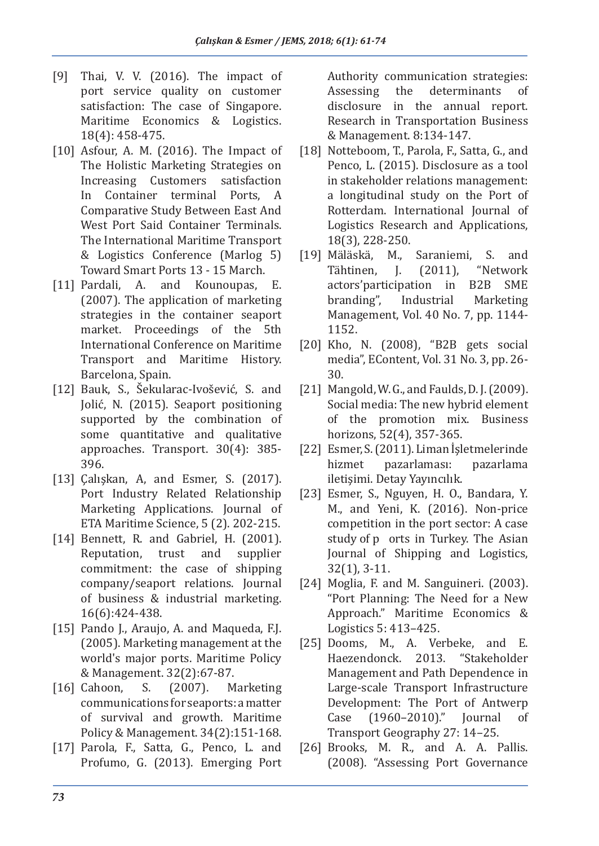- [9] Thai, V. V. (2016). The impact of port service quality on customer satisfaction: The case of Singapore. Maritime Economics & Logistics. 18(4): 458-475.
- [10] Asfour, A. M. (2016). The Impact of The Holistic Marketing Strategies on Increasing Customers satisfaction In Container terminal Ports, A Comparative Study Between East And West Port Said Container Terminals. The International Maritime Transport & Logistics Conference (Marlog 5) Toward Smart Ports 13 - 15 March.
- [11] Pardali, A. and Kounoupas, E. (2007). The application of marketing strategies in the container seaport market. Proceedings of the 5th International Conference on Maritime Transport and Maritime History. Barcelona, Spain.
- [12] Bauk, S., Šekularac-Ivošević, S. and Jolić, N. (2015). Seaport positioning supported by the combination of some quantitative and qualitative approaches. Transport. 30(4): 385- 396.
- [13] Çalışkan, A, and Esmer, S. (2017). Port Industry Related Relationship Marketing Applications. Journal of ETA Maritime Science, 5 (2). 202-215.
- [14] Bennett, R. and Gabriel, H. (2001). Reputation, trust and supplier commitment: the case of shipping company/seaport relations. Journal of business & industrial marketing. 16(6):424-438.
- [15] Pando J., Araujo, A. and Maqueda, F.J. (2005). Marketing management at the world's major ports. Maritime Policy & Management. 32(2):67-87.<br>Cahoon, S. (2007). Marketing
- $[16]$  Cahoon, communications for seaports: a matter of survival and growth. Maritime Policy & Management. 34(2):151-168.
- [17] Parola, F., Satta, G., Penco, L. and Profumo, G. (2013). Emerging Port

Authority communication strategies:<br>Assessing the determinants of determinants disclosure in the annual report. Research in Transportation Business & Management. 8:134-147.

- [18] Notteboom, T., Parola, F., Satta, G., and Penco, L. (2015). Disclosure as a tool in stakeholder relations management: a longitudinal study on the Port of Rotterdam. International Journal of Logistics Research and Applications, 18(3), 228-250.<br>[19] Mäläskä, M.,
- Mäläskä, M., Saraniemi, S. and<br>Tähtinen, J. (2011), "Network "Network"<br>B2B SME actors' participation in<br>branding", Industrial Marketing Management, Vol. 40 No. 7, pp. 1144- 1152.
- [20] Kho, N. (2008), "B2B gets social media", EContent, Vol. 31 No. 3, pp. 26- 30.
- [21] Mangold, W. G., and Faulds, D. J. (2009). Social media: The new hybrid element of the promotion mix. Business horizons, 52(4), 357-365.
- [22] Esmer, S. (2011). Liman İşletmelerinde<br>hizmet pazarlaması: pazarlama pazarlaması: iletişimi. Detay Yayıncılık.
- [23] Esmer, S., Nguyen, H. O., Bandara, Y. M., and Yeni, K. (2016). Non-price competition in the port sector: A case study of p orts in Turkey. The Asian Journal of Shipping and Logistics, 32(1), 3-11.
- [24] Moglia, F. and M. Sanguineri. (2003). "Port Planning: The Need for a New Approach." Maritime Economics & Logistics 5: 413–425.
- [25] Dooms, M., A. Verbeke, and E.<br>Haezendonck. 2013. "Stakeholder Haezendonck. 2013. Management and Path Dependence in Large-scale Transport Infrastructure Development: The Port of Antwerp<br>Case (1960-2010)." Journal of  $(1960 - 2010)$ ." Journal Transport Geography 27: 14–25.
- [26] Brooks, M. R., and A. A. Pallis. (2008). "Assessing Port Governance